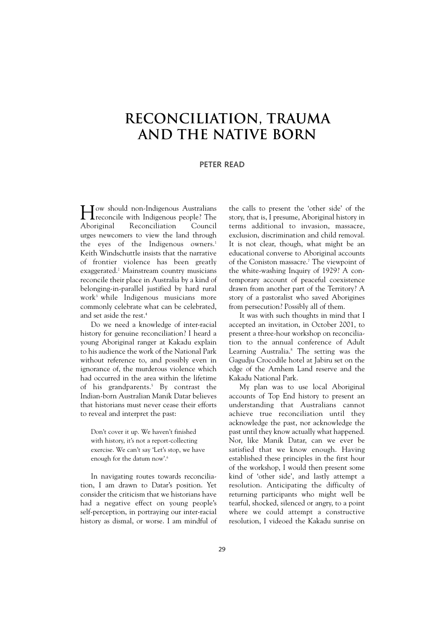## **Reconciliation, Trauma and the Native Born**

## **PETER READ**

How should non-Indigenous Australians<br>
reconcile with Indigenous people? The<br>
Aboriginal Reconciliation Council **T**reconcile with Indigenous people? The Reconciliation urges newcomers to view the land through the eyes of the Indigenous owners.<sup>1</sup> Keith Windschuttle insists that the narrative of frontier violence has been greatly exaggerated.2 Mainstream country musicians reconcile their place in Australia by a kind of belonging-in-parallel justified by hard rural work3 while Indigenous musicians more commonly celebrate what can be celebrated, and set aside the rest.<sup>4</sup>

Do we need a knowledge of inter-racial history for genuine reconciliation? I heard a young Aboriginal ranger at Kakadu explain to his audience the work of the National Park without reference to, and possibly even in ignorance of, the murderous violence which had occurred in the area within the lifetime of his grandparents.<sup>5</sup> By contrast the Indian-born Australian Manik Datar believes that historians must never cease their efforts to reveal and interpret the past:

Don't cover it up. We haven't finished with history, it's not a report-collecting exercise. We can't say 'Let's stop, we have enough for the datum now'.<sup>6</sup>

In navigating routes towards reconciliation, I am drawn to Datar's position. Yet consider the criticism that we historians have had a negative effect on young people's self-perception, in portraying our inter-racial history as dismal, or worse. I am mindful of

the calls to present the 'other side' of the story, that is, I presume, Aboriginal history in terms additional to invasion, massacre, exclusion, discrimination and child removal. It is not clear, though, what might be an educational converse to Aboriginal accounts of the Coniston massacre.7 The viewpoint of the white-washing Inquiry of 1929? A contemporary account of peaceful coexistence drawn from another part of the Territory? A story of a pastoralist who saved Aborigines from persecution? Possibly all of them.

It was with such thoughts in mind that I accepted an invitation, in October 2001, to present a three-hour workshop on reconciliation to the annual conference of Adult Learning Australia.<sup>8</sup> The setting was the Gagudju Crocodile hotel at Jabiru set on the edge of the Arnhem Land reserve and the Kakadu National Park.

My plan was to use local Aboriginal accounts of Top End history to present an understanding that Australians cannot achieve true reconciliation until they acknowledge the past, nor acknowledge the past until they know actually what happened. Nor, like Manik Datar, can we ever be satisfied that we know enough. Having established these principles in the first hour of the workshop, I would then present some kind of 'other side', and lastly attempt a resolution. Anticipating the difficulty of returning participants who might well be tearful, shocked, silenced or angry, to a point where we could attempt a constructive resolution, I videoed the Kakadu sunrise on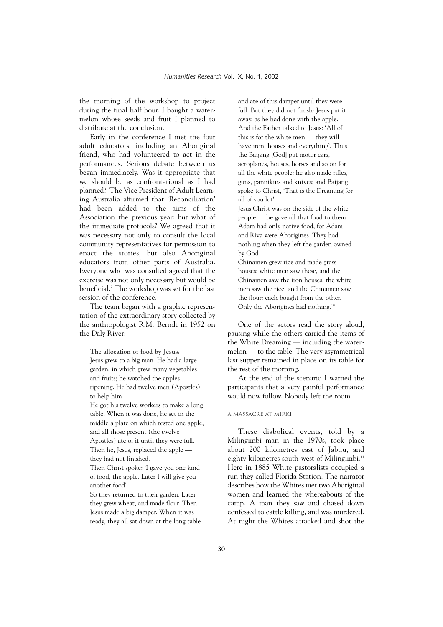the morning of the workshop to project during the final half hour. I bought a watermelon whose seeds and fruit I planned to distribute at the conclusion.

Early in the conference I met the four adult educators, including an Aboriginal friend, who had volunteered to act in the performances. Serious debate between us began immediately. Was it appropriate that we should be as confrontational as I had planned? The Vice President of Adult Learning Australia affirmed that 'Reconciliation' had been added to the aims of the Association the previous year: but what of the immediate protocols? We agreed that it was necessary not only to consult the local community representatives for permission to enact the stories, but also Aboriginal educators from other parts of Australia. Everyone who was consulted agreed that the exercise was not only necessary but would be beneficial.9 The workshop was set for the last session of the conference.

The team began with a graphic representation of the extraordinary story collected by the anthropologist R.M. Berndt in 1952 on the Daly River:

**The allocation of food by Jesus.** Jesus grew to a big man. He had a large garden, in which grew many vegetables and fruits; he watched the apples ripening. He had twelve men (Apostles) to help him.

He got his twelve workers to make a long table. When it was done, he set in the middle a plate on which rested one apple, and all those present (the twelve Apostles) ate of it until they were full.

Then he, Jesus, replaced the apple they had not finished.

Then Christ spoke: 'I gave you one kind of food, the apple. Later I will give you another food'.

So they returned to their garden. Later they grew wheat, and made flour. Then Jesus made a big damper. When it was ready, they all sat down at the long table and ate of this damper until they were full. But they did not finish: Jesus put it away, as he had done with the apple. And the Father talked to Jesus: 'All of this is for the white men — they will have iron, houses and everything'. Thus the Baijang [God] put motor cars, aeroplanes, houses, horses and so on for all the white people: he also made rifles, guns, pannikins and knives; and Baijang spoke to Christ, 'That is the Dreaming for all of you lot'.

Jesus Christ was on the side of the white people — he gave all that food to them. Adam had only native food, for Adam and Riva were Aborigines. They had nothing when they left the garden owned by God.

Chinamen grew rice and made grass houses: white men saw these, and the Chinamen saw the iron houses: the white men saw the rice, and the Chinamen saw the flour: each bought from the other. Only the Aborigines had nothing.<sup>10</sup>

One of the actors read the story aloud, pausing while the others carried the items of the White Dreaming — including the watermelon — to the table. The very asymmetrical last supper remained in place on its table for the rest of the morning.

At the end of the scenario I warned the participants that a very painful performance would now follow. Nobody left the room.

## A Massacre at Mirki

These diabolical events, told by a Milingimbi man in the 1970s, took place about 200 kilometres east of Jabiru, and eighty kilometres south-west of Milingimbi.<sup>11</sup> Here in 1885 White pastoralists occupied a run they called Florida Station. The narrator describes how the Whites met two Aboriginal women and learned the whereabouts of the camp. A man they saw and chased down confessed to cattle killing, and was murdered. At night the Whites attacked and shot the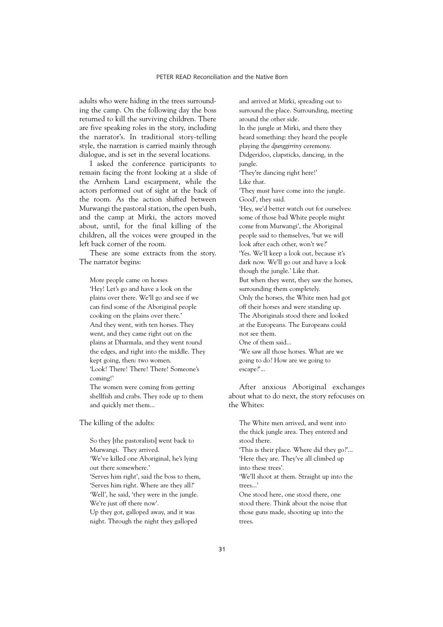adults who were hiding in the trees surrounding the camp. On the following day the boss returned to kill the surviving children. There are five speaking roles in the story, including the narrator's. In traditional story-telling style, the narration is carried mainly through dialogue, and is set in the several locations.

I asked the conference participants to remain facing the front looking at a slide of the Arnhem Land escarpment, while the actors performed out of sight at the back of the room. As the action shifted between Murwangi the pastoral station, the open bush, and the camp at Mirki, the actors moved about, until, for the final killing of the children, all the voices were grouped in the left back corner of the room.

These are some extracts from the story. The narrator begins:

More people came on horses 'Hey! Let's go and have a look on the plains over there. We'll go and see if we can find some of the Aboriginal people cooking on the plains over there.' And they went, with ten horses. They went, and they came right out on the plains at Dharmala, and they went round the edges, and right into the middle. They kept going, then: two women. 'Look! There! There! There! Someone's coming!' The women were coming from getting

shellfish and crabs. They rode up to them and quickly met them...

The killing of the adults:

So they [the pastoralists] went back to Murwangi. They arrived. 'We've killed one Aboriginal, he's lying out there somewhere.' 'Serves him right', said the boss to them, 'Serves him right. Where are they all?' 'Well', he said, 'they were in the jungle. We're just off there now'. Up they got, galloped away, and it was night. Through the night they galloped

and arrived at Mirki, spreading out to surround the place. Surrounding, meeting around the other side. In the jungle at Mirki, and there they heard something: they heard the people playing the *djunggirriny* ceremony. Didgeridoo, clapsticks, dancing, in the jungle. 'They're dancing right here!' Like that. 'They must have come into the jungle. Good', they said. 'Hey, we'd better watch out for ourselves: some of those bad White people might come from Murwangi', the Aboriginal people said to themselves, 'but we will look after each other, won't we?' 'Yes. We'll keep a look out, because it's dark now. We'll go out and have a look though the jungle.' Like that. But when they went, they saw the horses, surrounding them completely. Only the horses, the White men had got off their horses and were standing up. The Aboriginals stood there and looked at the Europeans. The Europeans could not see them. One of them said... 'We saw all those horses. What are we going to do? How are we going to escape?'...

After anxious Aboriginal exchanges about what to do next, the story refocuses on the Whites:

The White men arrived, and went into the thick jungle area. They entered and stood there.

'This is their place. Where did they go?'... 'Here they are. They've all climbed up into these trees'.

'We'll shoot at them. Straight up into the trees...'

One stood here, one stood there, one stood there. Think about the noise that those guns made, shooting up into the trees.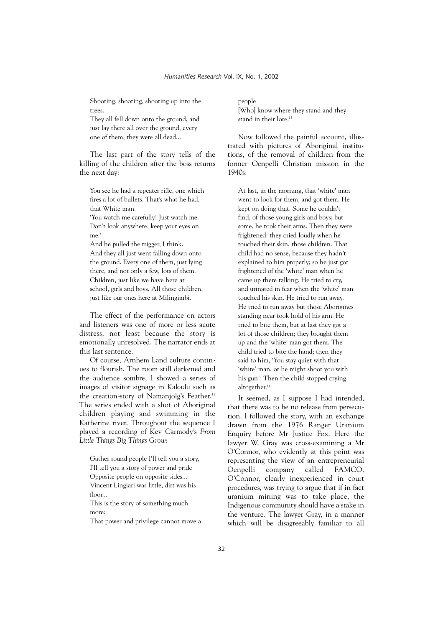Shooting, shooting, shooting up into the trees.

They all fell down onto the ground, and just lay there all over the ground, every one of them, they were all dead...

The last part of the story tells of the killing of the children after the boss returns the next day:

You see he had a repeater rifle, one which fires a lot of bullets. That's what he had, that White man.

'You watch me carefully! Just watch me. Don't look anywhere, keep your eyes on me.'

And he pulled the trigger, I think. And they all just went falling down onto the ground. Every one of them, just lying there, and not only a few, lots of them. Children, just like we have here at school, girls and boys. All those children, just like our ones here at Milingimbi.

The effect of the performance on actors and listeners was one of more or less acute distress, not least because the story is emotionally unresolved. The narrator ends at this last sentence.

Of course, Arnhem Land culture continues to flourish. The room still darkened and the audience sombre, I showed a series of images of visitor signage in Kakadu such as the creation-story of Namanjolg's Feather.<sup>12</sup> The series ended with a shot of Aboriginal children playing and swimming in the Katherine river. Throughout the sequence I played a recording of Kev Carmody's *From Little Things Big Things Grow*:

Gather round people I'll tell you a story, I'll tell you a story of power and pride Opposite people on opposite sides... Vincent Lingiari was little, dirt was his floor... This is the story of something much more:

That power and privilege cannot move a

people [Who] know where they stand and they stand in their lore.<sup>13</sup>

Now followed the painful account, illustrated with pictures of Aboriginal institutions, of the removal of children from the former Oenpelli Christian mission in the 1940s:

At last, in the morning, that 'white' man went to look for them, and got them. He kept on doing that. Some he couldn't find, of those young girls and boys; but some, he took their arms. Then they were frightened: they cried loudly when he touched their skin, those children. That child had no sense, because they hadn't explained to him properly; so he just got frightened of the 'white' man when he came up there talking. He tried to cry, and urinated in fear when the 'white' man touched his skin. He tried to run away. He tried to run away but those Aborigines standing near took hold of his arm. He tried to bite them, but at last they got a lot of those children; they brought them up and the 'white' man got them. The child tried to bite the hand; then they said to him, 'You stay quiet with that 'white' man, or he might shoot you with his gun!' Then the child stopped crying altogether.<sup>14</sup>

It seemed, as I suppose I had intended, that there was to be no release from persecution. I followed the story, with an exchange drawn from the 1976 Ranger Uranium Enquiry before Mr Justice Fox. Here the lawyer W. Gray was cross-examining a Mr O'Connor, who evidently at this point was representing the view of an entrepreneurial Oenpelli company called FAMCO. O'Connor, clearly inexperienced in court procedures, was trying to argue that if in fact uranium mining was to take place, the Indigenous community should have a stake in the venture. The lawyer Gray, in a manner which will be disagreeably familiar to all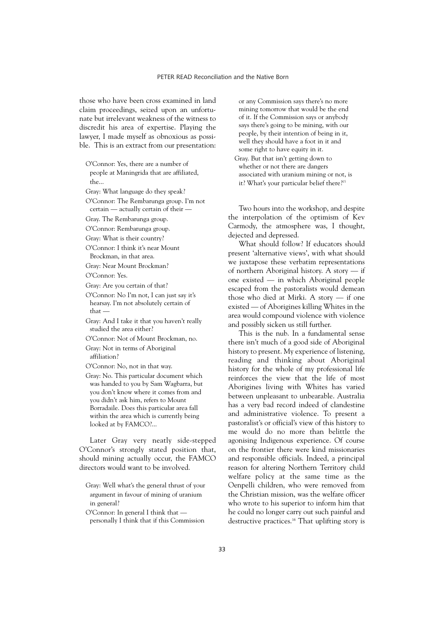those who have been cross examined in land claim proceedings, seized upon an unfortunate but irrelevant weakness of the witness to discredit his area of expertise. Playing the lawyer, I made myself as obnoxious as possible. This is an extract from our presentation:

O'Connor: Yes, there are a number of people at Maningrida that are affiliated, the...

Gray: What language do they speak?

O'Connor: The Rembarunga group. I'm not certain — actually certain of their —

Gray. The Rembarunga group.

O'Connor: Rembarunga group.

Gray: What is their country?

O'Connor: I think it's near Mount Brockman, in that area.

Gray: Near Mount Brockman?

O'Connor: Yes.

Gray: Are you certain of that?

O'Connor: No I'm not, I can just say it's hearsay. I'm not absolutely certain of that —

Gray: And I take it that you haven't really studied the area either?

O'Connor: Not of Mount Brockman, no.

Gray: Not in terms of Aboriginal affiliation?

O'Connor: No, not in that way.

Gray: No. This particular document which was handed to you by Sam Wagbarra, but you don't know where it comes from and you didn't ask him, refers to Mount Borradaile. Does this particular area fall within the area which is currently being looked at by FAMCO?...

Later Gray very neatly side-stepped O'Connor's strongly stated position that, should mining actually occur, the FAMCO directors would want to be involved.

Gray: Well what's the general thrust of your argument in favour of mining of uranium in general?

O'Connor: In general I think that personally I think that if this Commission

or any Commission says there's no more mining tomorrow that would be the end of it. If the Commission says or anybody says there's going to be mining, with our people, by their intention of being in it, well they should have a foot in it and some right to have equity in it.

Gray. But that isn't getting down to whether or not there are dangers associated with uranium mining or not, is it? What's your particular belief there?<sup>15</sup>

Two hours into the workshop, and despite the interpolation of the optimism of Kev Carmody, the atmosphere was, I thought, dejected and depressed.

What should follow? If educators should present 'alternative views', with what should we juxtapose these verbatim representations of northern Aboriginal history. A story — if one existed — in which Aboriginal people escaped from the pastoralists would demean those who died at Mirki. A story — if one existed — of Aborigines killing Whites in the area would compound violence with violence and possibly sicken us still further.

This is the nub. In a fundamental sense there isn't much of a good side of Aboriginal history to present. My experience of listening, reading and thinking about Aboriginal history for the whole of my professional life reinforces the view that the life of most Aborigines living with Whites has varied between unpleasant to unbearable. Australia has a very bad record indeed of clandestine and administrative violence. To present a pastoralist's or official's view of this history to me would do no more than belittle the agonising Indigenous experience. Of course on the frontier there were kind missionaries and responsible officials. Indeed, a principal reason for altering Northern Territory child welfare policy at the same time as the Oenpelli children, who were removed from the Christian mission, was the welfare officer who wrote to his superior to inform him that he could no longer carry out such painful and destructive practices.<sup>16</sup> That uplifting story is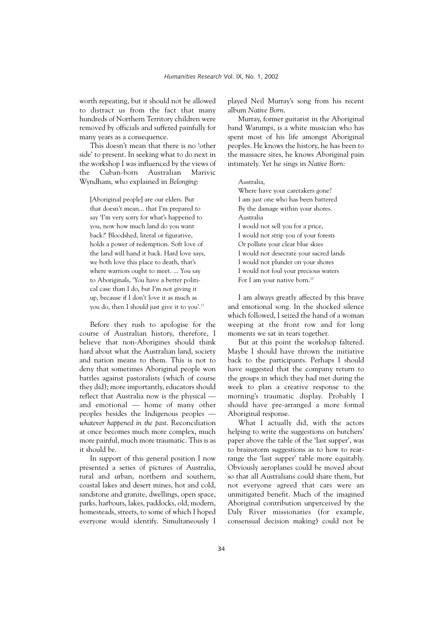worth repeating, but it should not be allowed to distract us from the fact that many hundreds of Northern Territory children were removed by officials and suffered painfully for many years as a consequence.

This doesn't mean that there is no 'other side' to present. In seeking what to do next in the workshop I was influenced by the views of the Cuban-born Australian Marivic Wyndham, who explained in *Belonging*:

[Aboriginal people] are our elders. But that doesn't mean... that I'm prepared to say 'I'm very sorry for what's happened to you, now how much land do you want back?' Bloodshed, literal or figurative, holds a power of redemption. Soft love of the land will hand it back. Hard love says, we both love this place to death, that's where warriors ought to meet. ... You say to Aboriginals, 'You have a better political case than I do, but I'm not giving it up, because if I don't love it as much as you do, then I should just give it to you'.17

Before they rush to apologise for the course of Australian history, therefore, I believe that non-Aborigines should think hard about what the Australian land, society and nation means to them. This is not to deny that sometimes Aboriginal people won battles against pastoralists (which of course they did); more importantly, educators should reflect that Australia now is the physical and emotional — home of many other peoples besides the Indigenous peoples *whatever happened in the past*. Reconciliation at once becomes much more complex, much more painful, much more traumatic. This is as it should be.

In support of this general position I now presented a series of pictures of Australia, rural and urban, northern and southern, coastal lakes and desert mines, hot and cold, sandstone and granite, dwellings, open space, parks, harbours, lakes, paddocks, old, modern, homesteads, streets, to some of which I hoped everyone would identify. Simultaneously I

played Neil Murray's song from his recent album *Native Born*.

Murray, former guitarist in the Aboriginal band Warumpi, is a white musician who has spent most of his life amongst Aboriginal peoples. He knows the history, he has been to the massacre sites, he knows Aboriginal pain intimately. Yet he sings in *Native Born*:

Australia,

Where have your caretakers gone? I am just one who has been battered By the damage within your shores. Australia I would not sell you for a price, I would not strip you of your forests Or pollute your clear blue skies I would not desecrate your sacred lands I would not plunder on your shores I would not foul your precious waters For I am your native born.<sup>18</sup>

I am always greatly affected by this brave and emotional song. In the shocked silence which followed, I seized the hand of a woman weeping at the front row and for long moments we sat in tears together.

But at this point the workshop faltered. Maybe I should have thrown the initiative back to the participants. Perhaps I should have suggested that the company return to the groups in which they had met during the week to plan a creative response to the morning's traumatic display. Probably I should have pre-arranged a more formal Aboriginal response.

What I actually did, with the actors helping to write the suggestions on butchers' paper above the table of the 'last supper', was to brainstorm suggestions as to how to rearrange the 'last supper' table more equitably. Obviously aeroplanes could be moved about so that all Australians could share them, but not everyone agreed that cars were an unmitigated benefit. Much of the imagined Aboriginal contribution unperceived by the Daly River missionaries (for example, consensual decision making) could not be